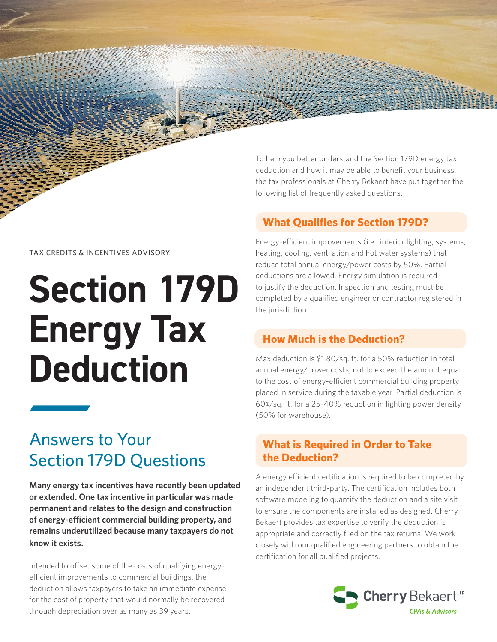To help you better understand the Section 179D energy tax deduction and how it may be able to benefit your business, the tax professionals at Cherry Bekaert have put together the following list of frequently asked questions.

## **What Qualifies for Section 179D?**

TAX CREDITS & INCENTIVES ADVISORY

# **Section 179D Energy Tax Deduction**

## Answers to Your Section 179D Questions

**Many energy tax incentives have recently been updated or extended. One tax incentive in particular was made permanent and relates to the design and construction of energy-efficient commercial building property, and remains underutilized because many taxpayers do not know it exists.** 

Intended to offset some of the costs of qualifying energyefficient improvements to commercial buildings, the deduction allows taxpayers to take an immediate expense for the cost of property that would normally be recovered through depreciation over as many as 39 years.

Energy-efficient improvements (i.e., interior lighting, systems, heating, cooling, ventilation and hot water systems) that reduce total annual energy/power costs by 50%. Partial deductions are allowed. Energy simulation is required to justify the deduction. Inspection and testing must be completed by a qualified engineer or contractor registered in the jurisdiction.

## **How Much is the Deduction?**

Max deduction is \$1.80/sq. ft. for a 50% reduction in total annual energy/power costs, not to exceed the amount equal to the cost of energy-efficient commercial building property placed in service during the taxable year. Partial deduction is 60¢/sq. ft. for a 25-40% reduction in lighting power density (50% for warehouse).

## **What is Required in Order to Take the Deduction?**

A energy efficient certification is required to be completed by an independent third-party. The certification includes both software modeling to quantify the deduction and a site visit to ensure the components are installed as designed. Cherry Bekaert provides tax expertise to verify the deduction is appropriate and correctly filed on the tax returns. We work closely with our qualified engineering partners to obtain the certification for all qualified projects.